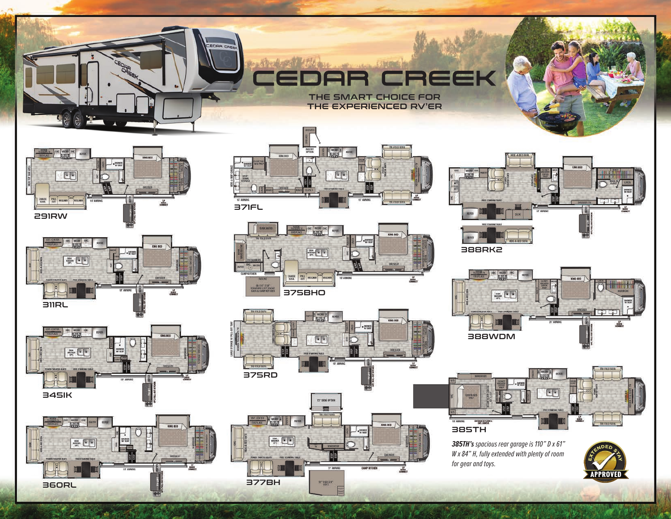

THE EXPERIENCED RV'ER



EDRR CE

















388RK2





*385TH's spacious rear garage is 110" D x 61" W x 84" H, fully extended with plenty of room for gear and toys.*